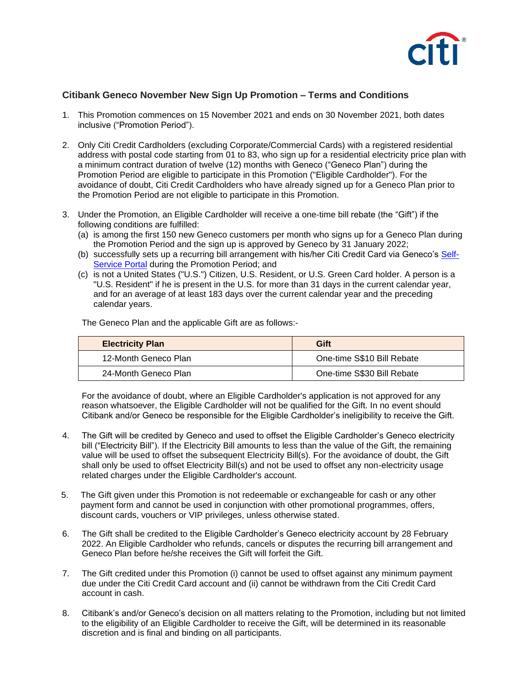

## **Citibank Geneco November New Sign Up Promotion – Terms and Conditions**

- 1. This Promotion commences on 15 November 2021 and ends on 30 November 2021, both dates inclusive ("Promotion Period").
- 2. Only Citi Credit Cardholders (excluding Corporate/Commercial Cards) with a registered residential address with postal code starting from 01 to 83, who sign up for a residential electricity price plan with a minimum contract duration of twelve (12) months with Geneco ("Geneco Plan") during the Promotion Period are eligible to participate in this Promotion ("Eligible Cardholder"). For the avoidance of doubt, Citi Credit Cardholders who have already signed up for a Geneco Plan prior to the Promotion Period are not eligible to participate in this Promotion.
- 3. Under the Promotion, an Eligible Cardholder will receive a one-time bill rebate (the "Gift") if the following conditions are fulfilled:
	- (a) is among the first 150 new Geneco customers per month who signs up for a Geneco Plan during the Promotion Period and the sign up is approved by Geneco by 31 January 2022;
	- (b) successfully sets up a recurring bill arrangement with his/her Citi Credit Card via Geneco's [Self-](https://account.geneco.sg/)[Service Portal](https://account.geneco.sg/) during the Promotion Period; and
	- (c) is not a United States ("U.S.") Citizen, U.S. Resident, or U.S. Green Card holder. A person is a "U.S. Resident" if he is present in the U.S. for more than 31 days in the current calendar year, and for an average of at least 183 days over the current calendar year and the preceding calendar years.

The Geneco Plan and the applicable Gift are as follows:-

| <b>Electricity Plan</b> | Gift                       |
|-------------------------|----------------------------|
| 12-Month Geneco Plan    | One-time S\$10 Bill Rebate |
| 24-Month Geneco Plan    | One-time S\$30 Bill Rebate |

For the avoidance of doubt, where an Eligible Cardholder's application is not approved for any reason whatsoever, the Eligible Cardholder will not be qualified for the Gift. In no event should Citibank and/or Geneco be responsible for the Eligible Cardholder's ineligibility to receive the Gift.

- 4. The Gift will be credited by Geneco and used to offset the Eligible Cardholder's Geneco electricity bill ("Electricity Bill"). If the Electricity Bill amounts to less than the value of the Gift, the remaining value will be used to offset the subsequent Electricity Bill(s). For the avoidance of doubt, the Gift shall only be used to offset Electricity Bill(s) and not be used to offset any non-electricity usage related charges under the Eligible Cardholder's account.
- 5. The Gift given under this Promotion is not redeemable or exchangeable for cash or any other payment form and cannot be used in conjunction with other promotional programmes, offers, discount cards, vouchers or VIP privileges, unless otherwise stated.
- 6. The Gift shall be credited to the Eligible Cardholder's Geneco electricity account by 28 February 2022. An Eligible Cardholder who refunds, cancels or disputes the recurring bill arrangement and Geneco Plan before he/she receives the Gift will forfeit the Gift.
- 7. The Gift credited under this Promotion (i) cannot be used to offset against any minimum payment due under the Citi Credit Card account and (ii) cannot be withdrawn from the Citi Credit Card account in cash.
- 8. Citibank's and/or Geneco's decision on all matters relating to the Promotion, including but not limited to the eligibility of an Eligible Cardholder to receive the Gift, will be determined in its reasonable discretion and is final and binding on all participants.